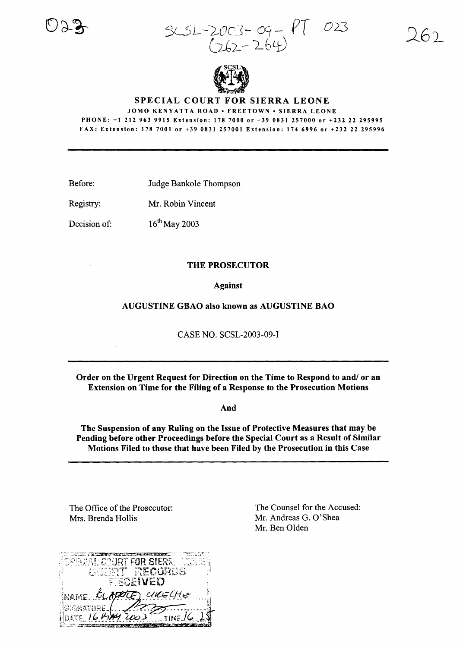5cSL-!.-ocl- *cct- PT* 023  $2003-09-$ 



SPECIAL COURT FOR SIERRA LEONE

JOMO KENYATTA ROAD· FREETOWN· SIERRA LEONE PHONE: +1 212 963 9915 Extension: 178 7000 or +39 0831 257000 or +232 22 295995 FAX: Extension: 178 7001 or +39 0831257001 Extension: 1746996 or +232 22 295996

Before: Judge Bankole Thompson

 $16^{th}$ May 2003

Registry: Mr. Robin Vincent

Decision of:

## THE PROSECUTOR

## Against

AUGUSTINE GBAO also known as AUGUSTINE BAO

CASE NO. SCSL-2003-09-1

Order on the Urgent Request for Direction on the Time to Respond to and/ or an Extension on Time for the Filing of a Response to the Prosecution Motions

And

The Suspension of any Ruling on the Issue of Protective Measures that may be Pending before other Proceedings before the Special Court as a Result of Similar Motions Filed to those that have been Filed by the Prosecution in this Case

The Office of the Prosecutor: Mrs. Brenda Hollis



The Counsel for the Accused: Mr. Andreas G. O'Shea Mr. Ben Olden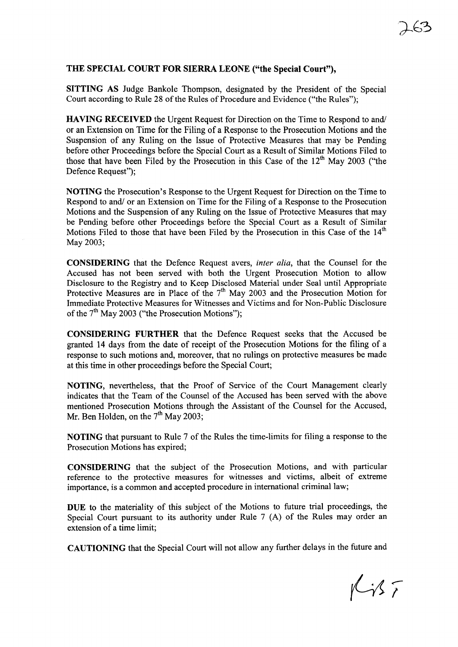## THE SPECIAL COURT FOR SIERRA LEONE ("the Special Court"),

SITTING AS Judge Bankole Thompson, designated by the President of the Special Court according to Rule 28 of the Rules of Procedure and Evidence ("the Rules");

HAVING RECEIVED the Urgent Request for Direction on the Time to Respond to and! or an Extension on Time for the Filing of a Response to the Prosecution Motions and the Suspension of any Ruling on the Issue of Protective Measures that may be Pending before other Proceedings before the Special Court as a Result of Similar Motions Filed to those that have been Filed by the Prosecution in this Case of the  $12<sup>th</sup>$  May 2003 ("the Defence Request");

NOTING the Prosecution's Response to the Urgent Request for Direction on the Time to Respond to and/ or an Extension on Time for the Filing of a Response to the Prosecution Motions and the Suspension of any Ruling on the Issue of Protective Measures that may be Pending before other Proceedings before the Special Court as a Result of Similar Motions Filed to those that have been Filed by the Prosecution in this Case of the  $14<sup>th</sup>$ May 2003;

CONSIDERING that the Defence Request avers, *inter alia,* that the Counsel for the Accused has not been served with both the Urgent Prosecution Motion to allow Disclosure to the Registry and to Keep Disclosed Material under Seal until Appropriate Protective Measures are in Place of the 7<sup>th</sup> May 2003 and the Prosecution Motion for Immediate Protective Measures for Witnesses and Victims and for Non-Public Disclosure of the  $7<sup>th</sup>$  May 2003 ("the Prosecution Motions");

CONSIDERING FURTHER that the Defence Request seeks that the Accused be granted 14 days from the date of receipt of the Prosecution Motions for the filing of a response to such motions and, moreover, that no rulings on protective measures be made at this time in other proceedings before the Special Court;

NOTING, nevertheless, that the Proof of Service of the Court Management clearly indicates that the Team of the Counsel of the Accused has been served with the above mentioned Prosecution Motions through the Assistant of the Counsel for the Accused, Mr. Ben Holden, on the 7<sup>th</sup> May 2003;

NOTING that pursuant to Rule 7 of the Rules the time-limits for filing a response to the Prosecution Motions has expired;

CONSIDERING that the subject of the Prosecution Motions, and with particular reference to the protective measures for witnesses and victims, albeit of extreme importance, is a common and accepted procedure in international criminal law;

DUE to the materiality of this subject of the Motions to future trial proceedings, the Special Court pursuant to its authority under Rule 7 (A) of the Rules may order an extension of a time limit;

CAUTIONING that the Special Court will not allow any further delays in the future and

 $Kif$